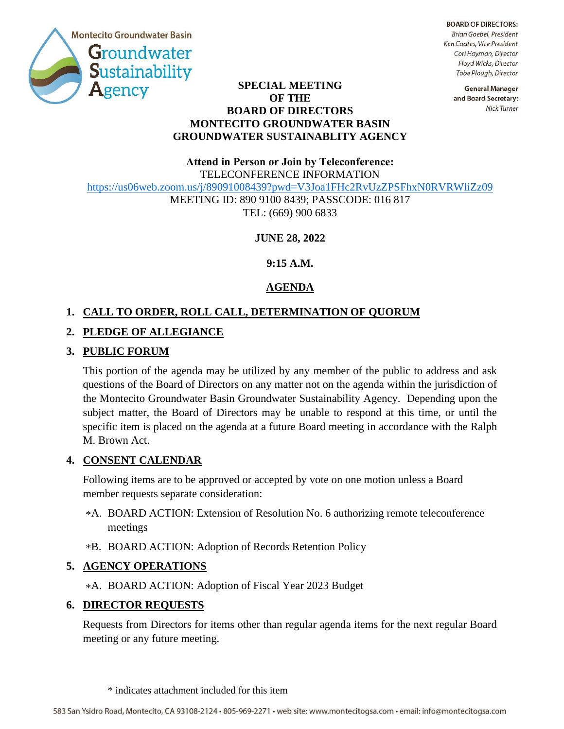

**BOARD OF DIRECTORS:** Brian Goebel, President Ken Coates, Vice President Cori Hayman, Director Floyd Wicks, Director Tobe Plough, Director

#### **SPECIAL MEETING OF THE BOARD OF DIRECTORS MONTECITO GROUNDWATER BASIN GROUNDWATER SUSTAINABLITY AGENCY**

**General Manager** and Board Secretary: Nick Turner

# **Attend in Person or Join by Teleconference:** TELECONFERENCE INFORMATION <https://us06web.zoom.us/j/89091008439?pwd=V3Joa1FHc2RvUzZPSFhxN0RVRWliZz09> MEETING ID: 890 9100 8439; PASSCODE: 016 817 TEL: (669) 900 6833

## **JUNE 28, 2022**

**9:15 A.M.**

# **AGENDA**

## **1. CALL TO ORDER, ROLL CALL, DETERMINATION OF QUORUM**

## **2. PLEDGE OF ALLEGIANCE**

### **3. PUBLIC FORUM**

This portion of the agenda may be utilized by any member of the public to address and ask questions of the Board of Directors on any matter not on the agenda within the jurisdiction of the Montecito Groundwater Basin Groundwater Sustainability Agency. Depending upon the subject matter, the Board of Directors may be unable to respond at this time, or until the specific item is placed on the agenda at a future Board meeting in accordance with the Ralph M. Brown Act.

### **4. CONSENT CALENDAR**

Following items are to be approved or accepted by vote on one motion unless a Board member requests separate consideration:

- A. BOARD ACTION: Extension of Resolution No. 6 authorizing remote teleconference \* meetings
- B. BOARD ACTION: Adoption of Records Retention Policy \*

### **5. AGENCY OPERATIONS**

A. BOARD ACTION: Adoption of Fiscal Year 2023 Budget \*

#### **6. DIRECTOR REQUESTS**

Requests from Directors for items other than regular agenda items for the next regular Board meeting or any future meeting.

<sup>\*</sup> indicates attachment included for this item